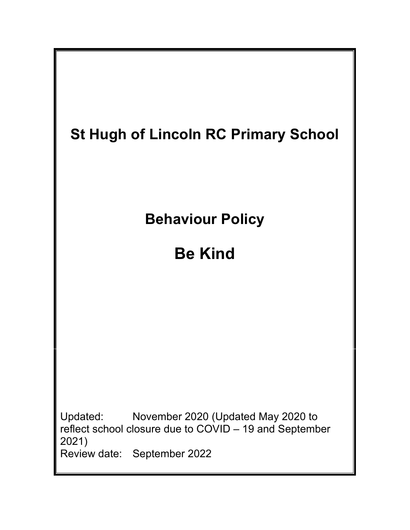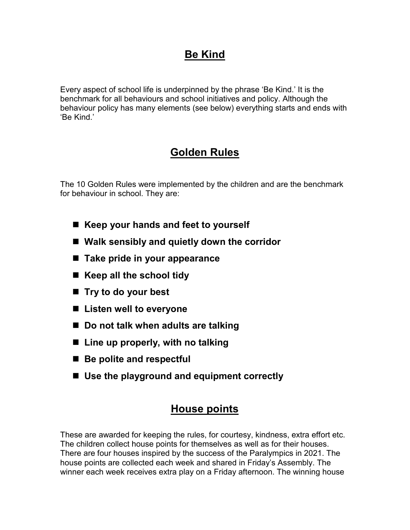# **Be Kind**

Every aspect of school life is underpinned by the phrase 'Be Kind.' It is the benchmark for all behaviours and school initiatives and policy. Although the behaviour policy has many elements (see below) everything starts and ends with 'Be Kind.'

# **Golden Rules**

The 10 Golden Rules were implemented by the children and are the benchmark for behaviour in school. They are:

- Keep your hands and feet to yourself
- **Walk sensibly and quietly down the corridor**
- Take pride in your appearance
- Keep all the school tidy
- **Try to do your best**
- Listen well to everyone
- Do not talk when adults are talking
- Line up properly, with no talking
- Be polite and respectful
- Use the playground and equipment correctly

## **House points**

These are awarded for keeping the rules, for courtesy, kindness, extra effort etc. The children collect house points for themselves as well as for their houses. There are four houses inspired by the success of the Paralympics in 2021. The house points are collected each week and shared in Friday's Assembly. The winner each week receives extra play on a Friday afternoon. The winning house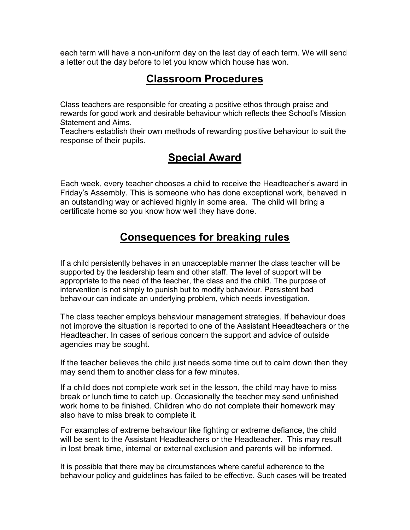each term will have a non-uniform day on the last day of each term. We will send a letter out the day before to let you know which house has won.

#### **Classroom Procedures**

Class teachers are responsible for creating a positive ethos through praise and rewards for good work and desirable behaviour which reflects thee School's Mission Statement and Aims.

Teachers establish their own methods of rewarding positive behaviour to suit the response of their pupils.

### **Special Award**

Each week, every teacher chooses a child to receive the Headteacher's award in Friday's Assembly. This is someone who has done exceptional work, behaved in an outstanding way or achieved highly in some area. The child will bring a certificate home so you know how well they have done.

## **Consequences for breaking rules**

If a child persistently behaves in an unacceptable manner the class teacher will be supported by the leadership team and other staff. The level of support will be appropriate to the need of the teacher, the class and the child. The purpose of intervention is not simply to punish but to modify behaviour. Persistent bad behaviour can indicate an underlying problem, which needs investigation.

The class teacher employs behaviour management strategies. If behaviour does not improve the situation is reported to one of the Assistant Heeadteachers or the Headteacher. In cases of serious concern the support and advice of outside agencies may be sought.

If the teacher believes the child just needs some time out to calm down then they may send them to another class for a few minutes.

If a child does not complete work set in the lesson, the child may have to miss break or lunch time to catch up. Occasionally the teacher may send unfinished work home to be finished. Children who do not complete their homework may also have to miss break to complete it.

For examples of extreme behaviour like fighting or extreme defiance, the child will be sent to the Assistant Headteachers or the Headteacher. This may result in lost break time, internal or external exclusion and parents will be informed.

It is possible that there may be circumstances where careful adherence to the behaviour policy and guidelines has failed to be effective. Such cases will be treated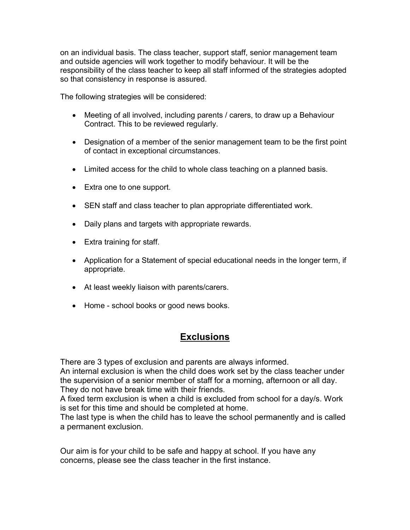on an individual basis. The class teacher, support staff, senior management team and outside agencies will work together to modify behaviour. It will be the responsibility of the class teacher to keep all staff informed of the strategies adopted so that consistency in response is assured.

The following strategies will be considered:

- Meeting of all involved, including parents / carers, to draw up a Behaviour Contract. This to be reviewed regularly.
- Designation of a member of the senior management team to be the first point of contact in exceptional circumstances.
- Limited access for the child to whole class teaching on a planned basis.
- Extra one to one support.
- SEN staff and class teacher to plan appropriate differentiated work.
- Daily plans and targets with appropriate rewards.
- Extra training for staff.
- Application for a Statement of special educational needs in the longer term, if appropriate.
- At least weekly liaison with parents/carers.
- Home school books or good news books.

#### **Exclusions**

There are 3 types of exclusion and parents are always informed.

An internal exclusion is when the child does work set by the class teacher under the supervision of a senior member of staff for a morning, afternoon or all day. They do not have break time with their friends.

A fixed term exclusion is when a child is excluded from school for a day/s. Work is set for this time and should be completed at home.

The last type is when the child has to leave the school permanently and is called a permanent exclusion.

Our aim is for your child to be safe and happy at school. If you have any concerns, please see the class teacher in the first instance.